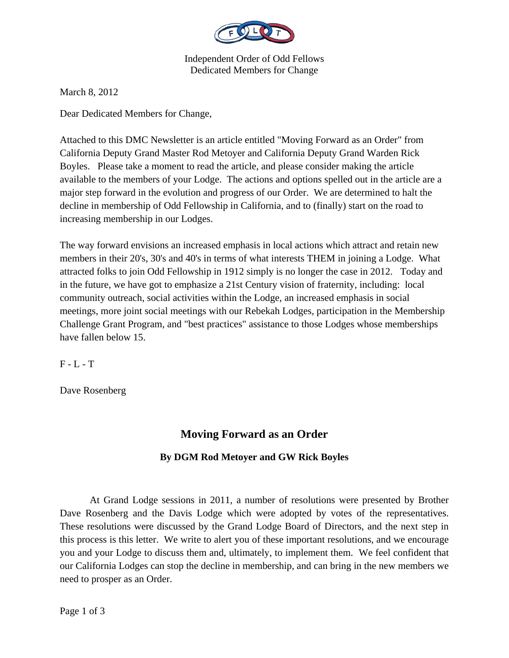

Independent Order of Odd Fellows Dedicated Members for Change

March 8, 2012

Dear Dedicated Members for Change,

Attached to this DMC Newsletter is an article entitled "Moving Forward as an Order" from California Deputy Grand Master Rod Metoyer and California Deputy Grand Warden Rick Boyles. Please take a moment to read the article, and please consider making the article available to the members of your Lodge. The actions and options spelled out in the article are a major step forward in the evolution and progress of our Order. We are determined to halt the decline in membership of Odd Fellowship in California, and to (finally) start on the road to increasing membership in our Lodges.

The way forward envisions an increased emphasis in local actions which attract and retain new members in their 20's, 30's and 40's in terms of what interests THEM in joining a Lodge. What attracted folks to join Odd Fellowship in 1912 simply is no longer the case in 2012. Today and in the future, we have got to emphasize a 21st Century vision of fraternity, including: local community outreach, social activities within the Lodge, an increased emphasis in social meetings, more joint social meetings with our Rebekah Lodges, participation in the Membership Challenge Grant Program, and "best practices" assistance to those Lodges whose memberships have fallen below 15.

 $F - L - T$ 

Dave Rosenberg

## **Moving Forward as an Order**

## **By DGM Rod Metoyer and GW Rick Boyles**

 At Grand Lodge sessions in 2011, a number of resolutions were presented by Brother Dave Rosenberg and the Davis Lodge which were adopted by votes of the representatives. These resolutions were discussed by the Grand Lodge Board of Directors, and the next step in this process is this letter. We write to alert you of these important resolutions, and we encourage you and your Lodge to discuss them and, ultimately, to implement them. We feel confident that our California Lodges can stop the decline in membership, and can bring in the new members we need to prosper as an Order.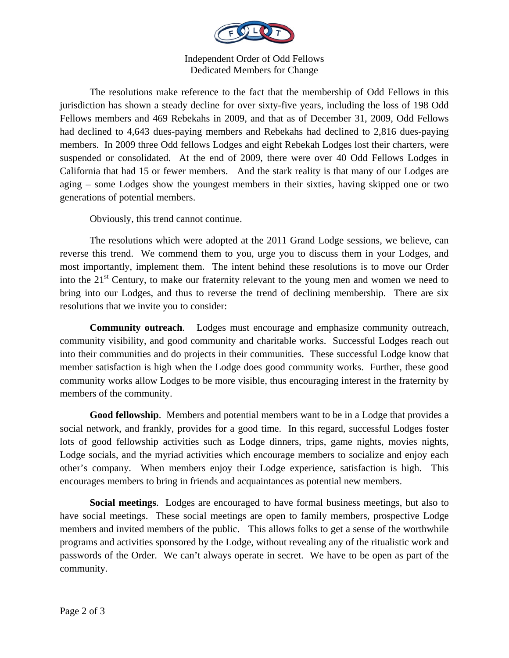

Independent Order of Odd Fellows Dedicated Members for Change

 The resolutions make reference to the fact that the membership of Odd Fellows in this jurisdiction has shown a steady decline for over sixty-five years, including the loss of 198 Odd Fellows members and 469 Rebekahs in 2009, and that as of December 31, 2009, Odd Fellows had declined to 4,643 dues-paying members and Rebekahs had declined to 2,816 dues-paying members. In 2009 three Odd fellows Lodges and eight Rebekah Lodges lost their charters, were suspended or consolidated. At the end of 2009, there were over 40 Odd Fellows Lodges in California that had 15 or fewer members. And the stark reality is that many of our Lodges are aging – some Lodges show the youngest members in their sixties, having skipped one or two generations of potential members.

Obviously, this trend cannot continue.

 The resolutions which were adopted at the 2011 Grand Lodge sessions, we believe, can reverse this trend. We commend them to you, urge you to discuss them in your Lodges, and most importantly, implement them. The intent behind these resolutions is to move our Order into the  $21<sup>st</sup>$  Century, to make our fraternity relevant to the young men and women we need to bring into our Lodges, and thus to reverse the trend of declining membership. There are six resolutions that we invite you to consider:

**Community outreach**. Lodges must encourage and emphasize community outreach, community visibility, and good community and charitable works. Successful Lodges reach out into their communities and do projects in their communities. These successful Lodge know that member satisfaction is high when the Lodge does good community works. Further, these good community works allow Lodges to be more visible, thus encouraging interest in the fraternity by members of the community.

**Good fellowship**. Members and potential members want to be in a Lodge that provides a social network, and frankly, provides for a good time. In this regard, successful Lodges foster lots of good fellowship activities such as Lodge dinners, trips, game nights, movies nights, Lodge socials, and the myriad activities which encourage members to socialize and enjoy each other's company. When members enjoy their Lodge experience, satisfaction is high. This encourages members to bring in friends and acquaintances as potential new members.

**Social meetings**. Lodges are encouraged to have formal business meetings, but also to have social meetings. These social meetings are open to family members, prospective Lodge members and invited members of the public. This allows folks to get a sense of the worthwhile programs and activities sponsored by the Lodge, without revealing any of the ritualistic work and passwords of the Order. We can't always operate in secret. We have to be open as part of the community.